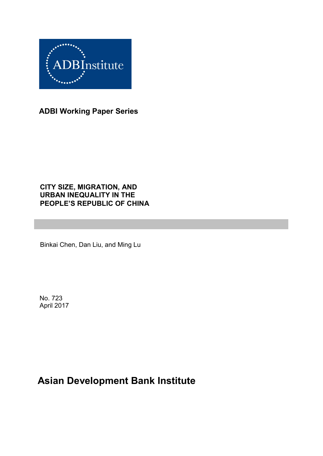

**ADBI Working Paper Series**

## **CITY SIZE, MIGRATION, AND URBAN INEQUALITY IN THE PEOPLE'S REPUBLIC OF CHINA**

Binkai Chen, Dan Liu, and Ming Lu

No. 723 April 2017

# **Asian Development Bank Institute**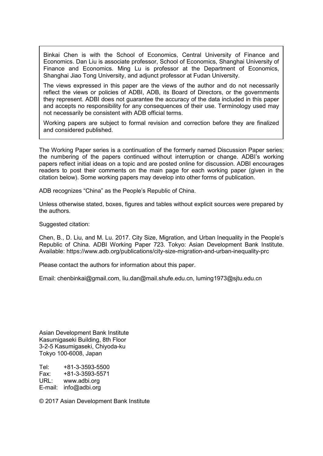Binkai Chen is with the School of Economics, Central University of Finance and Economics. Dan Liu is associate professor, School of Economics, Shanghai University of Finance and Economics. Ming Lu is professor at the Department of Economics, Shanghai Jiao Tong University, and adjunct professor at Fudan University.

The views expressed in this paper are the views of the author and do not necessarily reflect the views or policies of ADBI, ADB, its Board of Directors, or the governments they represent. ADBI does not guarantee the accuracy of the data included in this paper and accepts no responsibility for any consequences of their use. Terminology used may not necessarily be consistent with ADB official terms.

Working papers are subject to formal revision and correction before they are finalized and considered published.

The Working Paper series is a continuation of the formerly named Discussion Paper series; the numbering of the papers continued without interruption or change. ADBI's working papers reflect initial ideas on a topic and are posted online for discussion. ADBI encourages readers to post their comments on the main page for each working paper (given in the citation below). Some working papers may develop into other forms of publication.

ADB recognizes "China" as the People's Republic of China.

Unless otherwise stated, boxes, figures and tables without explicit sources were prepared by the authors.

Suggested citation:

Chen, B., D. Liu, and M. Lu. 2017. City Size, Migration, and Urban Inequality in the People's Republic of China. ADBI Working Paper 723. Tokyo: Asian Development Bank Institute. Available: https://www.adb.org/publications/city-size-migration-and-urban-inequality-prc

Please contact the authors for information about this paper.

Email: chenbinkai@gmail.com, liu.dan@mail.shufe.edu.cn, luming1973@sjtu.edu.cn

Asian Development Bank Institute Kasumigaseki Building, 8th Floor 3-2-5 Kasumigaseki, Chiyoda-ku Tokyo 100-6008, Japan

Tel: +81-3-3593-5500 Fax: +81-3-3593-5571 URL: www.adbi.org E-mail: info@adbi.org

© 2017 Asian Development Bank Institute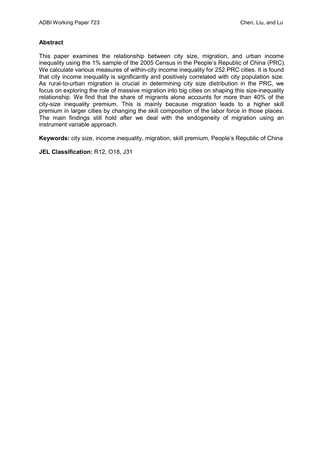#### **Abstract**

This paper examines the relationship between city size, migration, and urban income inequality using the 1% sample of the 2005 Census in the People's Republic of China (PRC). We calculate various measures of within-city income inequality for 252 PRC cities. It is found that city income inequality is significantly and positively correlated with city population size. As rural-to-urban migration is crucial in determining city size distribution in the PRC, we focus on exploring the role of massive migration into big cities on shaping this size-inequality relationship. We find that the share of migrants alone accounts for more than 40% of the city-size inequality premium. This is mainly because migration leads to a higher skill premium in larger cities by changing the skill composition of the labor force in those places. The main findings still hold after we deal with the endogeneity of migration using an instrument variable approach.

**Keywords:** city size, income inequality, migration, skill premium, People's Republic of China

**JEL Classification:** R12, O18, J31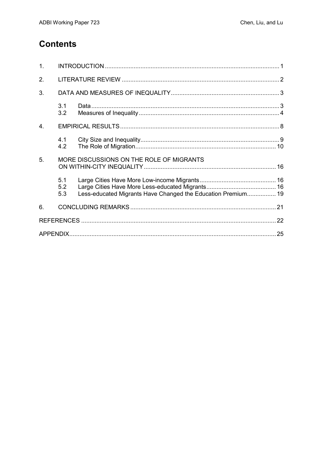## **Contents**

| 1. |                   |                                                              |  |
|----|-------------------|--------------------------------------------------------------|--|
| 2. |                   |                                                              |  |
| 3. |                   |                                                              |  |
|    | 3.1<br>3.2        |                                                              |  |
| 4. |                   |                                                              |  |
|    | 4.1<br>4.2        |                                                              |  |
| 5. |                   | MORE DISCUSSIONS ON THE ROLE OF MIGRANTS                     |  |
|    | 5.1<br>5.2<br>5.3 | Less-educated Migrants Have Changed the Education Premium 19 |  |
| 6. |                   |                                                              |  |
|    |                   |                                                              |  |
|    |                   |                                                              |  |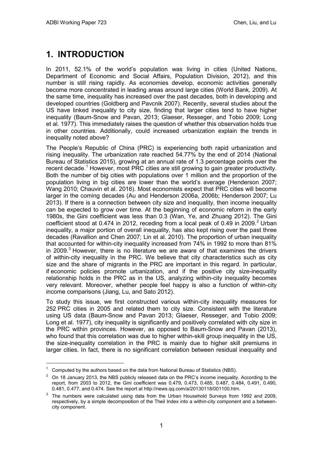# <span id="page-4-0"></span>**1. INTRODUCTION**

In 2011, 52.1% of the world's population was living in cities (United Nations, Department of Economic and Social Affairs, Population Division, 2012), and this number is still rising rapidly. As economies develop, economic activities generally become more concentrated in leading areas around large cities (World Bank, 2009). At the same time, inequality has increased over the past decades, both in developing and developed countries (Goldberg and Pavcnik 2007). Recently, several studies about the US have linked inequality to city size, finding that larger cities tend to have higher inequality (Baum-Snow and Pavan, 2013; Glaeser, Resseger, and Tobio 2009; Long et al. 1977). This immediately raises the question of whether this observation holds true in other countries. Additionally, could increased urbanization explain the trends in inequality noted above?

The People's Republic of China (PRC) is experiencing both rapid urbanization and rising inequality. The urbanization rate reached 54.77% by the end of 2014 (National Bureau of Statistics 2015), growing at an annual rate of 1.3 percentage points over the recent decade.<sup>[1](#page-4-1)</sup> However, most PRC cities are still growing to gain greater productivity. Both the number of big cities with populations over 1 million and the proportion of the population living in big cities are lower than the world's average (Henderson 2007; Wang 2010; Chauvin et al. 2016). Most economists expect that PRC cities will become larger in the coming decades (Au and Henderson 2006a, 2006b; Henderson 2007; Lu 2013). If there is a connection between city size and inequality, then income inequality can be expected to grow over time. At the beginning of economic reform in the early 1980s, the Gini coefficient was less than 0.3 (Wan, Ye, and Zhuang 2012). The Gini coefficient stood at 0.474 in [2](#page-4-2)012, receding from a local peak of 0.49 in 2009.<sup>2</sup> Urban inequality, a major portion of overall inequality, has also kept rising over the past three decades (Ravallion and Chen 2007; Lin et al. 2010). The proportion of urban inequality that accounted for within-city inequality increased from 74% in 1992 to more than 81% in 2009. $3$  However, there is no literature we are aware of that examines the drivers of within-city inequality in the PRC. We believe that city characteristics such as city size and the share of migrants in the PRC are important in this regard. In particular, if economic policies promote urbanization, and if the positive city size-inequality relationship holds in the PRC as in the US, analyzing within-city inequality becomes very relevant. Moreover, whether people feel happy is also a function of within-city income comparisons (Jiang, Lu, and Sato 2012).

To study this issue, we first constructed various within-city inequality measures for 252 PRC cities in 2005 and related them to city size. Consistent with the literature using US data (Baum-Snow and Pavan 2013; Glaeser, Resseger, and Tobio 2009; Long et al. 1977), city inequality is significantly and positively correlated with city size in the PRC within provinces. However, as opposed to Baum-Snow and Pavan (2013), who found that this correlation was due to higher within-skill group inequality in the US, the size-inequality correlation in the PRC is mainly due to higher skill premiums in larger cities. In fact, there is no significant correlation between residual inequality and

-

<span id="page-4-1"></span> $1$  Computed by the authors based on the data from National Bureau of Statistics (NBS).

<span id="page-4-2"></span> $2$  On 18 January 2013, the NBS publicly released data on the PRC's income inequality. According to the report, from 2003 to 2012, the Gini coefficient was 0.479, 0.473, 0.485, 0.487, 0.484, 0.491, 0.490, 0.481, 0.477, and 0.474. See the report at http://news.qq.com/a/20130118/001100.htm.

<span id="page-4-3"></span><sup>&</sup>lt;sup>3</sup> The numbers were calculated using data from the Urban Household Surveys from 1992 and 2009, respectively, by a simple decomposition of the Theil Index into a within-city component and a betweencity component.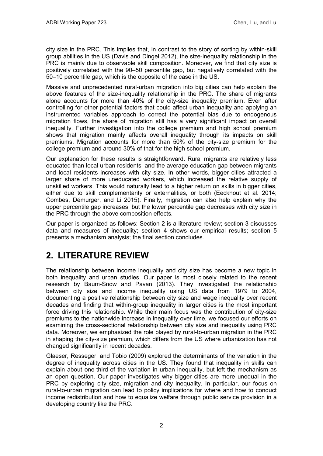city size in the PRC. This implies that, in contrast to the story of sorting by within-skill group abilities in the US (Davis and Dingel 2012), the size-inequality relationship in the PRC is mainly due to observable skill composition. Moreover, we find that city size is positively correlated with the 90–50 percentile gap, but negatively correlated with the 50–10 percentile gap, which is the opposite of the case in the US.

Massive and unprecedented rural-urban migration into big cities can help explain the above features of the size-inequality relationship in the PRC. The share of migrants alone accounts for more than 40% of the city-size inequality premium. Even after controlling for other potential factors that could affect urban inequality and applying an instrumented variables approach to correct the potential bias due to endogenous migration flows, the share of migration still has a very significant impact on overall inequality. Further investigation into the college premium and high school premium shows that migration mainly affects overall inequality through its impacts on skill premiums. Migration accounts for more than 50% of the city-size premium for the college premium and around 30% of that for the high school premium.

Our explanation for these results is straightforward. Rural migrants are relatively less educated than local urban residents, and the average education gap between migrants and local residents increases with city size. In other words, bigger cities attracted a larger share of more uneducated workers, which increased the relative supply of unskilled workers. This would naturally lead to a higher return on skills in bigger cities, either due to skill complementarity or externalities, or both (Eeckhout et al. 2014; Combes, Démurger, and Li 2015). Finally, migration can also help explain why the upper percentile gap increases, but the lower percentile gap decreases with city size in the PRC through the above composition effects.

Our paper is organized as follows: Section 2 is a literature review; section 3 discusses data and measures of inequality; section 4 shows our empirical results; section 5 presents a mechanism analysis; the final section concludes.

# <span id="page-5-0"></span>**2. LITERATURE REVIEW**

The relationship between income inequality and city size has become a new topic in both inequality and urban studies. Our paper is most closely related to the recent research by Baum-Snow and Pavan (2013). They investigated the relationship between city size and income inequality using US data from 1979 to 2004, documenting a positive relationship between city size and wage inequality over recent decades and finding that within-group inequality in larger cities is the most important force driving this relationship. While their main focus was the contribution of city-size premiums to the nationwide increase in inequality over time, we focused our efforts on examining the cross-sectional relationship between city size and inequality using PRC data. Moreover, we emphasized the role played by rural-to-urban migration in the PRC in shaping the city-size premium, which differs from the US where urbanization has not changed significantly in recent decades.

Glaeser, Resseger, and Tobio (2009) explored the determinants of the variation in the degree of inequality across cities in the US. They found that inequality in skills can explain about one-third of the variation in urban inequality, but left the mechanism as an open question. Our paper investigates why bigger cities are more unequal in the PRC by exploring city size, migration and city inequality. In particular, our focus on rural-to-urban migration can lead to policy implications for where and how to conduct income redistribution and how to equalize welfare through public service provision in a developing country like the PRC.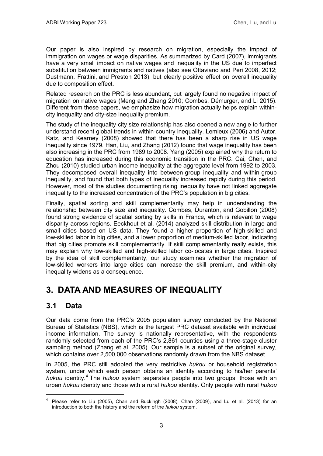Our paper is also inspired by research on migration, especially the impact of immigration on wages or wage disparities. As summarized by Card (2007), immigrants have a very small impact on native wages and inequality in the US due to imperfect substitution between immigrants and natives (also see Ottaviano and Peri 2008, 2012; Dustmann, Frattini, and Preston 2013), but clearly positive effect on overall inequality due to composition effect.

Related research on the PRC is less abundant, but largely found no negative impact of migration on native wages (Meng and Zhang 2010; Combes, Démurger, and Li 2015). Different from these papers, we emphasize how migration actually helps explain withincity inequality and city-size inequality premium.

The study of the inequality-city size relationship has also opened a new angle to further understand recent global trends in within-country inequality. Lemieux (2006) and Autor, Katz, and Kearney (2008) showed that there has been a sharp rise in US wage inequality since 1979. Han, Liu, and Zhang (2012) found that wage inequality has been also increasing in the PRC from 1989 to 2008. Yang (2005) explained why the return to education has increased during this economic transition in the PRC. Cai, Chen, and Zhou (2010) studied urban income inequality at the aggregate level from 1992 to 2003. They decomposed overall inequality into between-group inequality and within-group inequality, and found that both types of inequality increased rapidly during this period. However, most of the studies documenting rising inequality have not linked aggregate inequality to the increased concentration of the PRC's population in big cities.

Finally, spatial sorting and skill complementarity may help in understanding the relationship between city size and inequality. Combes, Duranton, and Gobillon (2008) found strong evidence of spatial sorting by skills in France, which is relevant to wage disparity across regions. Eeckhout et al. (2014) analyzed skill distribution in large and small cities based on US data. They found a higher proportion of high-skilled and low-skilled labor in big cities, and a lower proportion of medium-skilled labor, indicating that big cities promote skill complementarity. If skill complementarity really exists, this may explain why low-skilled and high-skilled labor co-locates in large cities. Inspired by the idea of skill complementarity, our study examines whether the migration of low-skilled workers into large cities can increase the skill premium, and within-city inequality widens as a consequence.

## <span id="page-6-0"></span>**3. DATA AND MEASURES OF INEQUALITY**

## <span id="page-6-1"></span>**3.1 Data**

 $\overline{a}$ 

Our data come from the PRC's 2005 population survey conducted by the National Bureau of Statistics (NBS), which is the largest PRC dataset available with individual income information. The survey is nationally representative, with the respondents randomly selected from each of the PRC's 2,861 counties using a three-stage cluster sampling method (Zhang et al. 2005). Our sample is a subset of the original survey, which contains over 2,500,000 observations randomly drawn from the NBS dataset.

In 2005, the PRC still adopted the very restrictive *hukou* or household registration system, under which each person obtains an identity according to his/her parents' *hukou* identity. [4](#page-6-2) The *hukou* system separates people into two groups: those with an urban *hukou* identity and those with a rural *hukou* identity. Only people with rural *hukou*

<span id="page-6-2"></span><sup>4</sup> Please refer to Liu (2005), Chan and Buckingh (2008), Chan (2009), and Lu et al. (2013) for an introduction to both the history and the reform of the *hukou* system.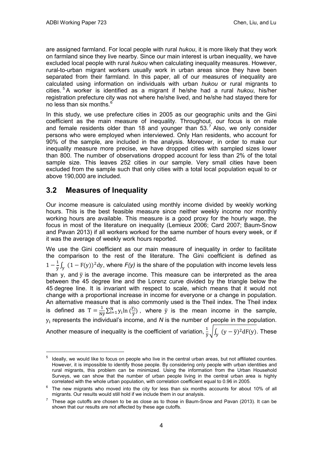are assigned farmland. For local people with rural *hukou*, it is more likely that they work on farmland since they live nearby. Since our main interest is urban inequality, we have excluded local people with rural *hukou* when calculating inequality measures. However, rural-to-urban migrant workers usually work in urban areas since they have been separated from their farmland. In this paper, all of our measures of inequality are calculated using information on individuals with urban *hukou* or rural migrants to cities. [5](#page-7-1) A worker is identified as a migrant if he/she had a rural *hukou*, his/her registration prefecture city was not where he/she lived, and he/she had stayed there for no less than six months. $<sup>6</sup>$  $<sup>6</sup>$  $<sup>6</sup>$ </sup>

In this study, we use prefecture cities in 2005 as our geographic units and the Gini coefficient as the main measure of inequality. Throughout, our focus is on male and female residents older than 18 and younger than  $53<sup>7</sup>$  $53<sup>7</sup>$  $53<sup>7</sup>$  Also, we only consider persons who were employed when interviewed. Only Han residents, who account for 90% of the sample, are included in the analysis. Moreover, in order to make our inequality measure more precise, we have dropped cities with sampled sizes lower than 800. The number of observations dropped account for less than 2% of the total sample size. This leaves 252 cities in our sample. Very small cities have been excluded from the sample such that only cities with a total local population equal to or above 190,000 are included.

## <span id="page-7-0"></span>**3.2 Measures of Inequality**

-

Our income measure is calculated using monthly income divided by weekly working hours. This is the best feasible measure since neither weekly income nor monthly working hours are available. This measure is a good proxy for the hourly wage, the focus in most of the literature on inequality (Lemieux 2006; Card 2007; Baum-Snow and Pavan 2013) if all workers worked for the same number of hours every week, or if it was the average of weekly work hours reported.

We use the Gini coefficient as our main measure of inequality in order to facilitate the comparison to the rest of the literature. The Gini coefficient is defined as  $1 - \frac{1}{\bar{y}} \int_{y} (1 - F(y))^2 dy$ , where  $F(y)$  is the share of the population with income levels less than y, and  $\bar{y}$  is the average income. This measure can be interpreted as the area between the 45 degree line and the Lorenz curve divided by the triangle below the 45 degree line. It is invariant with respect to scale, which means that it would not change with a proportional increase in income for everyone or a change in population. An alternative measure that is also commonly used is the Theil index. The Theil index is defined as  $T = \frac{1}{N_y} \sum_{i=1}^{N} y_i \ln \left( \frac{y_i}{y} \right)$ , where  $\bar{y}$  is the mean income in the sample, y<sup>i</sup> represents the individual's income, and *N* is the number of people in the population. Another measure of inequality is the coefficient of variation,  $\frac{1}{\bar{y}}\sqrt{\int_{y}(y-\bar{y})^{2}\mathrm{d}F(y)}$ . These

<span id="page-7-1"></span>Ideally, we would like to focus on people who live in the central urban areas, but not affiliated counties. However, it is impossible to identify those people. By considering only people with urban identities and rural migrants, this problem can be minimized. Using the information from the Urban Household Surveys, we can show that the number of urban people living in the central urban area is highly correlated with the whole urban population, with correlation coefficient equal to 0.96 in 2005.

<span id="page-7-2"></span> $6$  The new migrants who moved into the city for less than six months accounts for about 10% of all migrants. Our results would still hold if we include them in our analysis.

<span id="page-7-3"></span><sup>7</sup> These age cutoffs are chosen to be as close as to those in Baum-Snow and Pavan (2013). It can be shown that our results are not affected by these age cutoffs.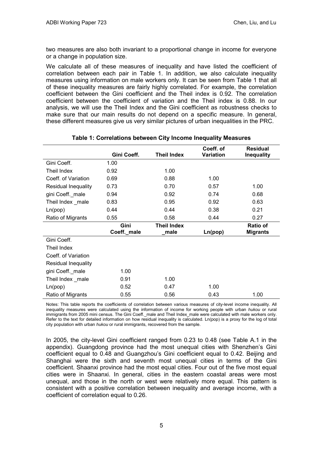two measures are also both invariant to a proportional change in income for everyone or a change in population size.

We calculate all of these measures of inequality and have listed the coefficient of correlation between each pair in Table 1. In addition, we also calculate inequality measures using information on male workers only. It can be seen from Table 1 that all of these inequality measures are fairly highly correlated. For example, the correlation coefficient between the Gini coefficient and the Theil index is 0.92. The correlation coefficient between the coefficient of variation and the Theil index is 0.88. In our analysis, we will use the Theil Index and the Gini coefficient as robustness checks to make sure that our main results do not depend on a specific measure. In general, these different measures give us very similar pictures of urban inequalities in the PRC.

|                            |             |                    | Coeff. of | <b>Residual</b>   |
|----------------------------|-------------|--------------------|-----------|-------------------|
|                            | Gini Coeff. | <b>Theil Index</b> | Variation | <b>Inequality</b> |
| Gini Coeff.                | 1.00        |                    |           |                   |
| Theil Index                | 0.92        | 1.00               |           |                   |
| Coeff. of Variation        | 0.69        | 0.88               | 1.00      |                   |
| <b>Residual Inequality</b> | 0.73        | 0.70               | 0.57      | 1.00              |
| gini Coeff._male           | 0.94        | 0.92               | 0.74      | 0.68              |
| Theil Index _male          | 0.83        | 0.95               | 0.92      | 0.63              |
| Ln(pop)                    | 0.44        | 0.44               | 0.38      | 0.21              |
| Ratio of Migrants          | 0.55        | 0.58               | 0.44      | 0.27              |
|                            |             |                    |           |                   |
|                            | Gini        | <b>Theil Index</b> |           | <b>Ratio of</b>   |
|                            | Coeff._male | male               | Ln(pop)   | <b>Migrants</b>   |
| Gini Coeff.                |             |                    |           |                   |
| Theil Index                |             |                    |           |                   |
| Coeff. of Variation        |             |                    |           |                   |
| <b>Residual Inequality</b> |             |                    |           |                   |
| gini Coeff._male           | 1.00        |                    |           |                   |
| Theil Index _male          | 0.91        | 1.00               |           |                   |
| Ln(pop)                    | 0.52        | 0.47               | 1.00      |                   |

#### **Table 1: Correlations between City Income Inequality Measures**

Notes: This table reports the coefficients of correlation between various measures of city-level income inequality. All inequality measures were calculated using the information of income for working people with urban *hukou* or rural immigrants from 2005 mini census. The Gini Coeff. male and Theil Index male were calculated with male workers only. Refer to the text for detailed information on how residual inequality is calculated. Ln(pop) is a proxy for the log of total city population with urban *hukou* or rural immigrants, recovered from the sample.

In 2005, the city-level Gini coefficient ranged from 0.23 to 0.48 (see Table A.1 in the appendix). Guangdong province had the most unequal cities with Shenzhen's Gini coefficient equal to 0.48 and Guangzhou's Gini coefficient equal to 0.42. Beijing and Shanghai were the sixth and seventh most unequal cities in terms of the Gini coefficient. Shaanxi province had the most equal cities. Four out of the five most equal cities were in Shaanxi. In general, cities in the eastern coastal areas were most unequal, and those in the north or west were relatively more equal. This pattern is consistent with a positive correlation between inequality and average income, with a coefficient of correlation equal to 0.26.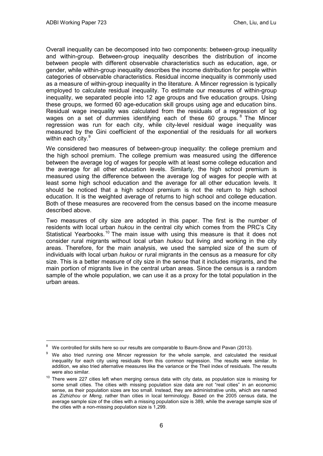$\ddot{\phantom{a}}$ 

Overall inequality can be decomposed into two components: between-group inequality and within-group. Between-group inequality describes the distribution of income between people with different observable characteristics such as education, age, or gender, while within-group inequality describes the income distribution for people within categories of observable characteristics. Residual income inequality is commonly used as a measure of within-group inequality in the literature. A Mincer regression is typically employed to calculate residual inequality. To estimate our measures of within-group inequality, we separated people into 12 age groups and five education groups. Using these groups, we formed 60 age-education skill groups using age and education bins. Residual wage inequality was calculated from the residuals of a regression of log wages on a set of dummies identifying each of these 60 groups.  $8$  The Mincer regression was run for each city, while city-level residual wage inequality was measured by the Gini coefficient of the exponential of the residuals for all workers within each city.<sup>[9](#page-9-1)</sup>

We considered two measures of between-group inequality: the college premium and the high school premium. The college premium was measured using the difference between the average log of wages for people with at least some college education and the average for all other education levels. Similarly, the high school premium is measured using the difference between the average log of wages for people with at least some high school education and the average for all other education levels. It should be noticed that a high school premium is not the return to high school education. It is the weighted average of returns to high school and college education. Both of these measures are recovered from the census based on the income measure described above.

Two measures of city size are adopted in this paper. The first is the number of residents with local urban *hukou* in the central city which comes from the PRC's City Statistical Yearbooks.<sup>[10](#page-9-2)</sup> The main issue with using this measure is that it does not consider rural migrants without local urban *hukou* but living and working in the city areas. Therefore, for the main analysis, we used the sampled size of the sum of individuals with local urban *hukou* or rural migrants in the census as a measure for city size. This is a better measure of city size in the sense that it includes migrants, and the main portion of migrants live in the central urban areas. Since the census is a random sample of the whole population, we can use it as a proxy for the total population in the urban areas.

<span id="page-9-0"></span>We controlled for skills here so our results are comparable to Baum-Snow and Pavan (2013).

<span id="page-9-1"></span>We also tried running one Mincer regression for the whole sample, and calculated the residual inequality for each city using residuals from this common regression. The results were similar. In addition, we also tried alternative measures like the variance or the Theil index of residuals. The results were also similar.

<span id="page-9-2"></span> $10$  There were 227 cities left when merging census data with city data, as population size is missing for some small cities. The cities with missing population size data are not "real cities" in an economic sense, as their population sizes are too small. Instead, they are administrative units, which are named as *Zizhizhou* or *Meng,* rather than cities in local terminology. Based on the 2005 census data, the average sample size of the cities with a missing population size is 389, while the average sample size of the cities with a non-missing population size is 1,299.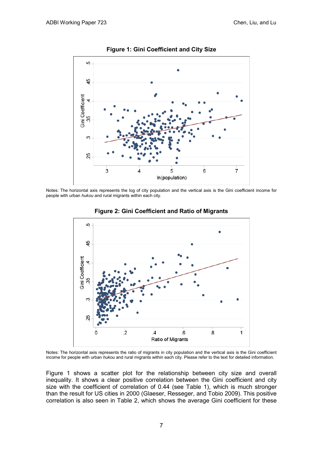

Notes: The horizontal axis represents the log of city population and the vertical axis is the Gini coefficient income for people with urban *hukou* and rural migrants within each city.



**Figure 2: Gini Coefficient and Ratio of Migrants**

Notes: The horizontal axis represents the ratio of migrants in city population and the vertical axis is the Gini coefficient income for people with urban *hukou* and rural migrants within each city. Please refer to the text for detailed information.

Figure 1 shows a scatter plot for the relationship between city size and overall inequality. It shows a clear positive correlation between the Gini coefficient and city size with the coefficient of correlation of 0.44 (see Table 1), which is much stronger than the result for US cities in 2000 (Glaeser, Resseger, and Tobio 2009). This positive correlation is also seen in Table 2, which shows the average Gini coefficient for these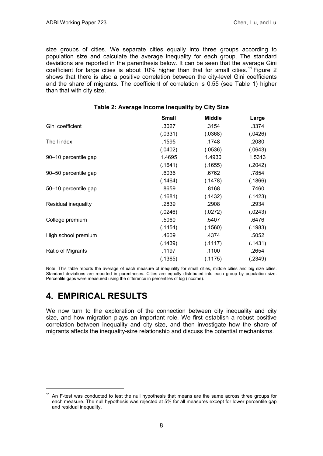size groups of cities. We separate cities equally into three groups according to population size and calculate the average inequality for each group. The standard deviations are reported in the parenthesis below. It can be seen that the average Gini coefficient for large cities is about 10% higher than that for small cities.<sup>[11](#page-11-1)</sup> Figure 2 shows that there is also a positive correlation between the city-level Gini coefficients and the share of migrants. The coefficient of correlation is 0.55 (see Table 1) higher than that with city size.

|                      | <b>Small</b> | <b>Middle</b> | Large   |
|----------------------|--------------|---------------|---------|
| Gini coefficient     | .3027        | .3154         | .3374   |
|                      | (.0331)      | (.0368)       | (.0426) |
| Theil index          | .1595        | .1748         | .2080   |
|                      | (.0402)      | (.0536)       | (.0643) |
| 90-10 percentile gap | 1.4695       | 1.4930        | 1.5313  |
|                      | (.1641)      | (.1655)       | (.2042) |
| 90-50 percentile gap | .6036        | .6762         | .7854   |
|                      | (.1464)      | (.1478)       | (.1866) |
| 50-10 percentile gap | .8659        | .8168         | .7460   |
|                      | (.1681)      | (.1432)       | (.1423) |
| Residual inequality  | .2839        | .2908         | .2934   |
|                      | (.0246)      | (.0272)       | (.0243) |
| College premium      | .5060        | .5407         | .6476   |
|                      | (.1454)      | (.1560)       | (.1983) |
| High school premium  | .4609        | .4374         | .5052   |
|                      | (.1439)      | (.1117)       | (.1431) |
| Ratio of Migrants    | .1197        | .1100         | .2654   |
|                      | (.1365)      | (.1175)       | (.2349) |

| Table 2: Average Income Inequality by City Size |  |  |  |
|-------------------------------------------------|--|--|--|
|-------------------------------------------------|--|--|--|

Note: This table reports the average of each measure of inequality for small cities, middle cities and big size cities. Standard deviations are reported in parentheses. Cities are equally distributed into each group by population size. Percentile gaps were measured using the difference in percentiles of log (income).

## <span id="page-11-0"></span>**4. EMPIRICAL RESULTS**

 $\overline{a}$ 

We now turn to the exploration of the connection between city inequality and city size, and how migration plays an important role. We first establish a robust positive correlation between inequality and city size, and then investigate how the share of migrants affects the inequality-size relationship and discuss the potential mechanisms.

<span id="page-11-1"></span> $11$  An F-test was conducted to test the null hypothesis that means are the same across three groups for each measure. The null hypothesis was rejected at 5% for all measures except for lower percentile gap and residual inequality.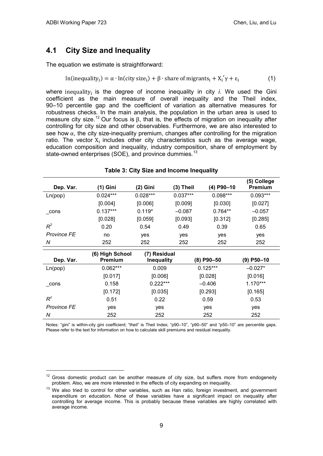$\ddot{\phantom{a}}$ 

## <span id="page-12-0"></span>**4.1 City Size and Inequality**

The equation we estimate is straightforward:

$$
\ln(inequality_i) = \alpha \cdot \ln(city\,\text{size}_i) + \beta \cdot \text{share of migrants}_i + X_i'\gamma + \epsilon_i \tag{1}
$$

where inequality<sub>i</sub> is the degree of income inequality in city *i*. We used the Gini coefficient as the main measure of overall inequality and the Theil index, 90–10 percentile gap and the coefficient of variation as alternative measures for robustness checks. In the main analysis, the population in the urban area is used to measure city size.<sup>[12](#page-12-1)</sup> Our focus is β, that is, the effects of migration on inequality after controlling for city size and other observables. Furthermore, we are also interested to see how  $\alpha$ , the city size-inequality premium, changes after controlling for the migration ratio. The vector  $X_i$  includes other city characteristics such as the average wage, education composition and inequality, industry composition, share of employment by state-owned enterprises (SOE), and province dummies.<sup>[13](#page-12-2)</sup>

| Dep. Var.          | (1) Gini        | $(2)$ Gini        | $(3)$ Theil | (4) P90-10 | (5) College<br>Premium |
|--------------------|-----------------|-------------------|-------------|------------|------------------------|
| Ln(pop)            | $0.024***$      | $0.028***$        | $0.037***$  | $0.098***$ | $0.093***$             |
|                    | [0.004]         | [0.006]           | [0.009]     | [0.030]    | [0.027]                |
| $_{\rm cons}$      | $0.137***$      | $0.119*$          | $-0.087$    | $0.764**$  | $-0.057$               |
|                    | [0.028]         | [0.059]           | [0.093]     | [0.312]    | [0.285]                |
| $R^2$              | 0.20            | 0.54              | 0.49        | 0.39       | 0.65                   |
| <b>Province FE</b> | no              | yes               | yes         | yes        | yes                    |
| N                  | 252             | 252               | 252         | 252        | 252                    |
|                    | (6) High School | (7) Residual      |             |            |                        |
| Dep. Var.          | Premium         | <b>Inequality</b> |             | (8) P90-50 | $(9)$ P50-10           |
| Ln(pop)            | $0.062***$      | 0.009             |             | $0.125***$ | $-0.027*$              |
|                    | [0.017]         | [0.006]           |             | [0.028]    | [0.016]                |
| cons               | 0.158           | $0.222***$        |             | $-0.406$   | $1.170***$             |
|                    | [0.172]         | [0.035]           |             | [0.293]    | [0.165]                |
| $R^2$              | 0.51            | 0.22              |             | 0.59       | 0.53                   |
| <b>Province FE</b> | yes             | yes               |             | yes        | yes                    |
| N                  | 252             | 252               |             | 252        | 252                    |

#### **Table 3: City Size and Income Inequality**

Notes: "gini" is within-city gini coefficient; "theil" is Theil Index; "p90–10", "p90–50" and "p50–10" are percentile gaps. Please refer to the text for information on how to calculate skill premiums and residual inequality.

<span id="page-12-1"></span> $12$  Gross domestic product can be another measure of city size, but suffers more from endogeneity problem. Also, we are more interested in the effects of city expanding on inequality.

<span id="page-12-2"></span><sup>&</sup>lt;sup>13</sup> We also tried to control for other variables, such as Han ratio, foreign investment, and government expenditure on education. None of these variables have a significant impact on inequality after controlling for average income. This is probably because these variables are highly correlated with average income.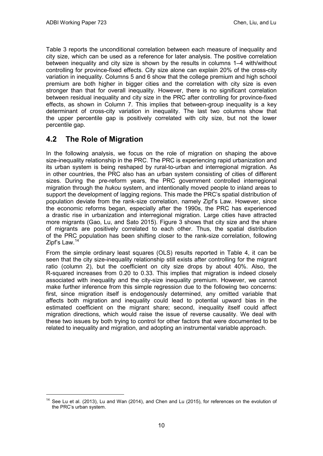Table 3 reports the unconditional correlation between each measure of inequality and city size, which can be used as a reference for later analysis. The positive correlation between inequality and city size is shown by the results in columns 1–4 with/without controlling for province-fixed effects. City size alone can explain 20% of the cross-city variation in inequality. Columns 5 and 6 show that the college premium and high school premium are both higher in bigger cities and the correlation with city size is even stronger than that for overall inequality. However, there is no significant correlation between residual inequality and city size in the PRC after controlling for province-fixed effects, as shown in Column 7. This implies that between-group inequality is a key determinant of cross-city variation in inequality. The last two columns show that the upper percentile gap is positively correlated with city size, but not the lower percentile gap.

## <span id="page-13-0"></span>**4.2 The Role of Migration**

 $\overline{a}$ 

In the following analysis, we focus on the role of migration on shaping the above size-inequality relationship in the PRC. The PRC is experiencing rapid urbanization and its urban system is being reshaped by rural-to-urban and interregional migration. As in other countries, the PRC also has an urban system consisting of cities of different sizes. During the pre-reform years, the PRC government controlled interregional migration through the *hukou* system, and intentionally moved people to inland areas to support the development of lagging regions. This made the PRC's spatial distribution of population deviate from the rank-size correlation, namely Zipf's Law. However, since the economic reforms began, especially after the 1990s, the PRC has experienced a drastic rise in urbanization and interregional migration. Large cities have attracted more migrants (Gao, Lu, and Sato 2015). Figure 3 shows that city size and the share of migrants are positively correlated to each other. Thus, the spatial distribution of the PRC population has been shifting closer to the rank-size correlation, following Zipf's Law.<sup>[14](#page-13-1)</sup>

From the simple ordinary least squares (OLS) results reported in Table 4, it can be seen that the city size-inequality relationship still exists after controlling for the migrant ratio (column 2), but the coefficient on city size drops by about 40%. Also, the R-squared increases from 0.20 to 0.33. This implies that migration is indeed closely associated with inequality and the city-size inequality premium. However, we cannot make further inference from this simple regression due to the following two concerns: first, since migration itself is endogenously determined, any omitted variable that affects both migration and inequality could lead to potential upward bias in the estimated coefficient on the migrant share; second, inequality itself could affect migration directions, which would raise the issue of reverse causality. We deal with these two issues by both trying to control for other factors that were documented to be related to inequality and migration, and adopting an instrumental variable approach.

<span id="page-13-1"></span> $14$  See Lu et al. (2013), Lu and Wan (2014), and Chen and Lu (2015), for references on the evolution of the PRC's urban system.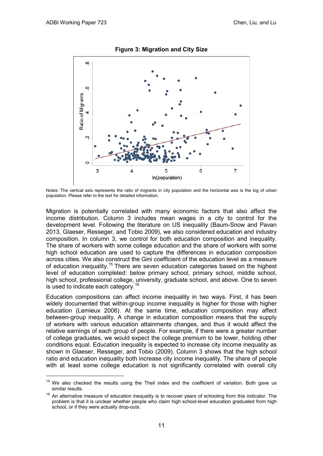$\overline{a}$ 



**Figure 3: Migration and City Size**

Notes: The vertical axis represents the ratio of migrants in city population and the horizontal axis is the log of urban population. Please refer to the text for detailed information.

Migration is potentially correlated with many economic factors that also affect the income distribution. Column 3 includes mean wages in a city to control for the development level. Following the literature on US inequality (Baum-Snow and Pavan 2013, Glaeser, Resseger, and Tobio 2009), we also considered education and industry composition. In column 3, we control for both education composition and inequality. The share of workers with some college education and the share of workers with some high school education are used to capture the differences in education composition across cities. We also construct the Gini coefficient of the education level as a measure of education inequality.<sup>[15](#page-14-0)</sup> There are seven education categories based on the highest level of education completed: below primary school, primary school, middle school, high school, professional college, university, graduate school, and above. One to seven is used to indicate each category.<sup>[16](#page-14-1)</sup>

Education compositions can affect income inequality in two ways. First, it has been widely documented that within-group income inequality is higher for those with higher education (Lemieux 2006). At the same time, education composition may affect between-group inequality. A change in education composition means that the supply of workers with various education attainments changes, and thus it would affect the relative earnings of each group of people. For example, if there were a greater number of college graduates, we would expect the college premium to be lower, holding other conditions equal. Education inequality is expected to increase city income inequality as shown in Glaeser, Resseger, and Tobio (2009). Column 3 shows that the high school ratio and education inequality both increase city income inequality. The share of people with at least some college education is not significantly correlated with overall city

<span id="page-14-0"></span>We also checked the results using the Theil index and the coefficient of variation. Both gave us similar results.

<span id="page-14-1"></span> $16$  An alternative measure of education inequality is to recover years of schooling from this indicator. The problem is that it is unclear whether people who claim high school-level education graduated from high school, or if they were actually drop-outs.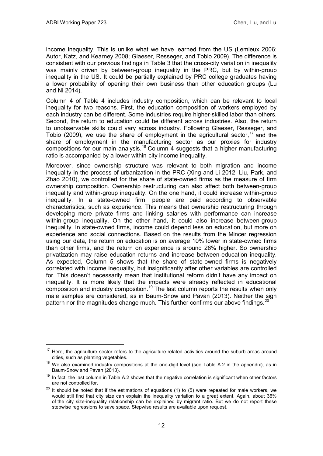$\overline{a}$ 

income inequality. This is unlike what we have learned from the US (Lemieux 2006; Autor, Katz, and Kearney 2008; Glaeser, Resseger, and Tobio 2009). The difference is consistent with our previous findings in Table 3 that the cross-city variation in inequality was mainly driven by between-group inequality in the PRC, but by within-group inequality in the US. It could be partially explained by PRC college graduates having a lower probability of opening their own business than other education groups (Lu and Ni 2014).

Column 4 of Table 4 includes industry composition, which can be relevant to local inequality for two reasons. First, the education composition of workers employed by each industry can be different. Some industries require higher-skilled labor than others. Second, the return to education could be different across industries. Also, the return to unobservable skills could vary across industry. Following Glaeser, Resseger, and Tobio (2009), we use the share of employment in the agricultural sector, [17](#page-15-0) and the share of employment in the manufacturing sector as our proxies for industry compositions for our main analysis.<sup>[18](#page-15-1)</sup> Column 4 suggests that a higher manufacturing ratio is accompanied by a lower within-city income inequality.

Moreover, since ownership structure was relevant to both migration and income inequality in the process of urbanization in the PRC (Xing and Li 2012; Liu, Park, and Zhao 2010), we controlled for the share of state-owned firms as the measure of firm ownership composition. Ownership restructuring can also affect both between-group inequality and within-group inequality. On the one hand, it could increase within-group inequality. In a state-owned firm, people are paid according to observable characteristics, such as experience. This means that ownership restructuring through developing more private firms and linking salaries with performance can increase within-group inequality. On the other hand, it could also increase between-group inequality. In state-owned firms, income could depend less on education, but more on experience and social connections. Based on the results from the Mincer regression using our data, the return on education is on average 10% lower in state-owned firms than other firms, and the return on experience is around 26% higher. So ownership privatization may raise education returns and increase between-education inequality. As expected, Column 5 shows that the share of state-owned firms is negatively correlated with income inequality, but insignificantly after other variables are controlled for. This doesn't necessarily mean that institutional reform didn't have any impact on inequality. It is more likely that the impacts were already reflected in educational composition and industry composition.<sup>[19](#page-15-2)</sup> The last column reports the results when only male samples are considered, as in Baum-Snow and Pavan (2013). Neither the sign pattern nor the magnitudes change much. This further confirms our above findings.<sup>[20](#page-15-3)</sup>

<span id="page-15-0"></span> $17$  Here, the agriculture sector refers to the agriculture-related activities around the suburb areas around cities, such as planting vegetables.

<span id="page-15-1"></span> $18$  We also examined industry compositions at the one-digit level (see Table A.2 in the appendix), as in Baum-Snow and Pavan (2013).

<span id="page-15-2"></span> $19$  In fact, the last column in Table A.2 shows that the negative correlation is significant when other factors are not controlled for.

<span id="page-15-3"></span> $20$  It should be noted that if the estimations of equations (1) to (5) were repeated for male workers, we would still find that city size can explain the inequality variation to a great extent. Again, about 36% of the city size-inequality relationship can be explained by migrant ratio. But we do not report these stepwise regressions to save space. Stepwise results are available upon request.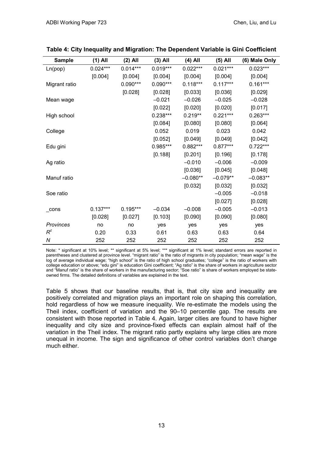| <b>Sample</b> | $(1)$ All  | $(2)$ All  | $(3)$ All  | $(4)$ All  | $(5)$ All  | (6) Male Only |
|---------------|------------|------------|------------|------------|------------|---------------|
| Ln(pop)       | $0.024***$ | $0.014***$ | $0.019***$ | $0.022***$ | $0.021***$ | $0.023***$    |
|               | [0.004]    | [0.004]    | [0.004]    | [0.004]    | [0.004]    | [0.004]       |
| Migrant ratio |            | $0.090***$ | $0.090***$ | $0.118***$ | $0.117***$ | $0.161***$    |
|               |            | [0.028]    | [0.028]    | [0.033]    | [0.036]    | [0.029]       |
| Mean wage     |            |            | $-0.021$   | $-0.026$   | $-0.025$   | $-0.028$      |
|               |            |            | [0.022]    | [0.020]    | [0.020]    | [0.017]       |
| High school   |            |            | $0.238***$ | $0.219**$  | $0.221***$ | $0.263***$    |
|               |            |            | [0.084]    | [0.080]    | [0.080]    | [0.064]       |
| College       |            |            | 0.052      | 0.019      | 0.023      | 0.042         |
|               |            |            | [0.052]    | [0.049]    | [0.049]    | [0.042]       |
| Edu gini      |            |            | $0.985***$ | $0.882***$ | $0.877***$ | $0.722***$    |
|               |            |            | [0.188]    | [0.201]    | [0.196]    | [0.178]       |
| Ag ratio      |            |            |            | $-0.010$   | $-0.006$   | $-0.009$      |
|               |            |            |            | [0.036]    | [0.045]    | [0.048]       |
| Manuf ratio   |            |            |            | $-0.080**$ | $-0.079**$ | $-0.083**$    |
|               |            |            |            | [0.032]    | [0.032]    | [0.032]       |
| Soe ratio     |            |            |            |            | $-0.005$   | $-0.018$      |
|               |            |            |            |            | [0.027]    | [0.028]       |
| cons          | $0.137***$ | $0.195***$ | $-0.034$   | $-0.008$   | $-0.005$   | $-0.013$      |
|               | [0.028]    | [0.027]    | [0.103]    | [0.090]    | [0.090]    | [0.080]       |
| Provinces     | no         | no         | yes        | yes        | yes        | yes           |
| $R^2$         | 0.20       | 0.33       | 0.61       | 0.63       | 0.63       | 0.64          |
| Ν             | 252        | 252        | 252        | 252        | 252        | 252           |

#### **Table 4: City Inequality and Migration: The Dependent Variable is Gini Coefficient**

Note: \* significant at 10% level; \*\* significant at 5% level; \*\*\* significant at 1% level; standard errors are reported in parentheses and clustered at province level. "migrant ratio" is the ratio of migrants in city population; "mean wage" is the log of average individual wage; "high school" is the ratio of high school graduates; "college" is the ratio of workers with college education or above; "edu gini" is education Gini coefficient; "Ag ratio" is the share of workers in agriculture sector and "Manuf ratio" is the share of workers in the manufacturing sector; "Soe ratio" is share of workers employed be stateowned firms. The detailed definitions of variables are explained in the text.

Table 5 shows that our baseline results, that is, that city size and inequality are positively correlated and migration plays an important role on shaping this correlation, hold regardless of how we measure inequality. We re-estimate the models using the Theil index, coefficient of variation and the 90–10 percentile gap. The results are consistent with those reported in Table 4. Again, larger cities are found to have higher inequality and city size and province-fixed effects can explain almost half of the variation in the Theil index. The migrant ratio partly explains why large cities are more unequal in income. The sign and significance of other control variables don't change much either.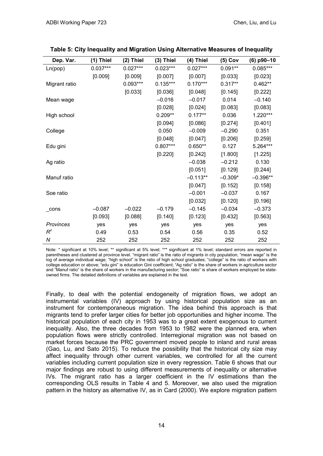| Dep. Var.     | $(1)$ Thiel | (2) Thiel  | $(3)$ Thiel | (4) Thiel  | $(5)$ Cov | $(6)$ p90-10 |
|---------------|-------------|------------|-------------|------------|-----------|--------------|
| Ln(pop)       | $0.037***$  | $0.027***$ | $0.023***$  | $0.027***$ | $0.091**$ | $0.085***$   |
|               | [0.009]     | [0.009]    | [0.007]     | [0.007]    | [0.033]   | [0.023]      |
| Migrant ratio |             | $0.093***$ | $0.135***$  | $0.170***$ | $0.317**$ | $0.462**$    |
|               |             | [0.033]    | [0.036]     | [0.048]    | [0.145]   | [0.222]      |
| Mean wage     |             |            | $-0.016$    | $-0.017$   | 0.014     | $-0.140$     |
|               |             |            | [0.028]     | [0.024]    | [0.083]   | [0.083]      |
| High school   |             |            | $0.209**$   | $0.177**$  | 0.036     | 1.220***     |
|               |             |            | [0.094]     | [0.086]    | [0.274]   | [0.401]      |
| College       |             |            | 0.050       | $-0.009$   | $-0.290$  | 0.351        |
|               |             |            | [0.048]     | [0.047]    | [0.206]   | [0.259]      |
| Edu gini      |             |            | $0.807***$  | $0.650**$  | 0.127     | 5.264***     |
|               |             |            | [0.220]     | [0.242]    | [1.800]   | [1.225]      |
| Ag ratio      |             |            |             | $-0.038$   | $-0.212$  | 0.130        |
|               |             |            |             | [0.051]    | [0.129]   | [0.244]      |
| Manuf ratio   |             |            |             | $-0.113**$ | $-0.309*$ | $-0.396**$   |
|               |             |            |             | [0.047]    | [0.152]   | [0.158]      |
| Soe ratio     |             |            |             | $-0.001$   | $-0.037$  | 0.167        |
|               |             |            |             | [0.032]    | [0.120]   | [0.196]      |
| cons          | $-0.087$    | $-0.022$   | $-0.179$    | $-0.145$   | $-0.034$  | $-0.373$     |
|               | [0.093]     | [0.088]    | [0.140]     | [0.123]    | [0.432]   | [0.563]      |
| Provinces     | yes         | yes        | yes         | yes        | yes       | yes          |
| $R^2$         | 0.49        | 0.53       | 0.54        | 0.56       | 0.35      | 0.52         |
| Ν             | 252         | 252        | 252         | 252        | 252       | 252          |

Note: \* significant at 10% level; \*\* significant at 5% level; \*\*\* significant at 1% level; standard errors are reported in parentheses and clustered at province level. "migrant ratio" is the ratio of migrants in city population; "mean wage" is the log of average individual wage; "high school" is the ratio of high school graduates; "college" is the ratio of workers with college education or above; "edu gini" is education Gini coefficient; "Ag ratio" is the share of workers in agriculture sector and "Manuf ratio" is the share of workers in the manufacturing sector; "Soe ratio" is share of workers employed be stateowned firms. The detailed definitions of variables are explained in the text.

Finally, to deal with the potential endogeneity of migration flows, we adopt an instrumental variables (IV) approach by using historical population size as an instrument for contemporaneous migration. The idea behind this approach is that migrants tend to prefer larger cities for better job opportunities and higher income. The historical population of each city in 1953 was to a great extent exogenous to current inequality. Also, the three decades from 1953 to 1982 were the planned era, when population flows were strictly controlled. Interregional migration was not based on market forces because the PRC government moved people to inland and rural areas (Gao, Lu, and Sato 2015). To reduce the possibility that the historical city size may affect inequality through other current variables, we controlled for all the current variables including current population size in every regression. Table 6 shows that our major findings are robust to using different measurements of inequality or alternative IVs. The migrant ratio has a larger coefficient in the IV estimations than the corresponding OLS results in Table 4 and 5. Moreover, we also used the migration pattern in the history as alternative IV, as in Card (2000). We explore migration pattern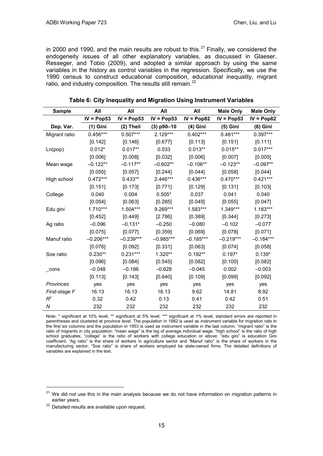in 2000 and 1990, and the main results are robust to this. $^{21}$  $^{21}$  $^{21}$  Finally, we considered the endogeneity issues of all other explanatory variables, as discussed in Glaeser, Resseger, and Tobio (2009), and adopted a similar approach by using the same variables in the history as control variables in the regression. Specifically, we use the 1990 census to construct educational composition, educational inequality, migrant ratio, and industry composition. The results still remain.<sup>[22](#page-18-1)</sup>

| <b>Sample</b> | All          | All          | All          | All          | <b>Male Only</b> | <b>Male Only</b> |
|---------------|--------------|--------------|--------------|--------------|------------------|------------------|
|               | $IV = Pop53$ | $IV = Pop53$ | $IV = Pop53$ | $IV = Pop82$ | $IV = Pop53$     | $IV = Pop82$     |
| Dep. Var.     | (1) Gini     | $(2)$ Theil  | $(3)$ p90-10 | (4) Gini     | (5) Gini         | $(6)$ Gini       |
| Migrant ratio | $0.456***$   | $0.507***$   | $2.129***$   | $0.402***$   | $0.481***$       | $0.397***$       |
|               | [0.142]      | [0.146]      | [0.677]      | [0.113]      | [0.151]          | [0.111]          |
| Ln(pop)       | $0.012*$     | $0.017**$    | 0.033        | $0.013**$    | $0.015***$       | $0.017***$       |
|               | [0.006]      | [0.008]      | [0.032]      | [0.006]      | [0.007]          | [0.005]          |
| Mean wage     | $-0.122**$   | $-0.117**$   | $-0.602**$   | $-0.106**$   | $-0.123**$       | $-0.097**$       |
|               | [0.055]      | [0.057]      | [0.244]      | [0.044]      | [0.058]          | [0.044]          |
| High school   | $0.472***$   | $0.433**$    | 2.446***     | $0.436***$   | $0.470***$       | $0.421***$       |
|               | [0.151]      | [0.173]      | [0.771]      | [0.129]      | [0.131]          | [0.103]          |
| College       | 0.040        | 0.004        | $0.505*$     | 0.037        | 0.041            | 0.040            |
|               | [0.054]      | [0.063]      | [0.285]      | [0.049]      | [0.055]          | [0.047]          |
| Edu gini      | $1.710***$   | 1.504***     | 9.269***     | 1.583***     | 1.349***         | 1.183***         |
|               | [0.452]      | [0.449]      | [2.786]      | [0.389]      | [0.344]          | [0.273]          |
| Ag ratio      | $-0.096$     | $-0.131*$    | $-0.250$     | $-0.080$     | $-0.102$         | $-0.077$         |
|               | [0.075]      | [0.077]      | [0.359]      | [0.069]      | [0.078]          | [0.071]          |
| Manuf ratio   | $-0.206***$  | $-0.239***$  | $-0.985***$  | $-0.185***$  | $-0.219***$      | $-0.184***$      |
|               | [0.076]      | [0.092]      | [0.331]      | [0.063]      | [0.074]          | [0.058]          |
| Soe ratio     | $0.230**$    | $0.231***$   | 1.320**      | $0.192**$    | $0.197*$         | $0.139*$         |
|               | [0.096]      | [0.084]      | [0.545]      | [0.082]      | [0.100]          | [0.082]          |
| $\_cons$      | $-0.048$     | $-0.186$     | $-0.628$     | $-0.045$     | 0.002            | $-0.003$         |
|               | [0.113]      | [0.143]      | [0.640]      | [0.109]      | [0.099]          | [0.092]          |
| Provinces     | yes          | yes          | yes          | yes          | yes              | yes              |
| First-stage F | 16.13        | 16.13        | 16.13        | 9.62         | 14.81            | 8.92             |
| $R^2$         | 0.32         | 0.42         | 0.13         | 0.41         | 0.42             | 0.51             |
| N             | 232          | 232          | 232          | 232          | 232              | 232              |

**Table 6: City Inequality and Migration Using Instrument Variables**

Note: \* significant at 10% level; \*\* significant at 5% level; \*\*\* significant at 1% level; standard errors are reported in parentheses and clustered at province level. The population in 1982 is used as instrument variable for migration rate in the first six columns and the population in 1953 is used as instrument variable in the last column. "migrant ratio" is the ratio of migrants in city population; "mean wage" is the log of average individual wage; "high school" is the ratio of high school graduates; "college" is the ratio of workers with college education or above; "edu gini" is education Gini coefficient; "Ag ratio" is the share of workers in agriculture sector and "Manuf ratio" is the share of workers in the manufacturing sector; "Soe ratio" is share of workers employed be state-owned firms. The detailed definitions of variables are explained in the text.

 $\overline{a}$ 

<span id="page-18-0"></span> $21$  We did not use this in the main analysis because we do not have information on migration patterns in earlier years.

<span id="page-18-1"></span><sup>&</sup>lt;sup>22</sup> Detailed results are available upon request.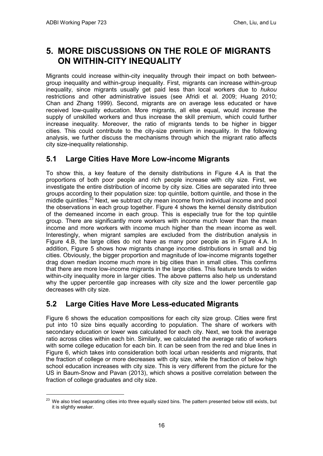$\overline{a}$ 

## <span id="page-19-0"></span>**5. MORE DISCUSSIONS ON THE ROLE OF MIGRANTS ON WITHIN-CITY INEQUALITY**

Migrants could increase within-city inequality through their impact on both betweengroup inequality and within-group inequality. First, migrants can increase within-group inequality, since migrants usually get paid less than local workers due to *hukou* restrictions and other administrative issues (see Afridi et al. 2009; Huang 2010; Chan and Zhang 1999). Second, migrants are on average less educated or have received low-quality education. More migrants, all else equal, would increase the supply of unskilled workers and thus increase the skill premium, which could further increase inequality. Moreover, the ratio of migrants tends to be higher in bigger cities. This could contribute to the city-size premium in inequality. In the following analysis, we further discuss the mechanisms through which the migrant ratio affects city size-inequality relationship.

## <span id="page-19-1"></span>**5.1 Large Cities Have More Low-income Migrants**

To show this, a key feature of the density distributions in Figure 4.A is that the proportions of both poor people and rich people increase with city size. First, we investigate the entire distribution of income by city size. Cities are separated into three groups according to their population size: top quintile, bottom quintile, and those in the middle quintiles. $^{23}$  $^{23}$  $^{23}$  Next, we subtract city mean income from individual income and pool the observations in each group together. Figure 4 shows the kernel density distribution of the demeaned income in each group. This is especially true for the top quintile group. There are significantly more workers with income much lower than the mean income and more workers with income much higher than the mean income as well. Interestingly, when migrant samples are excluded from the distribution analysis in Figure 4.B, the large cities do not have as many poor people as in Figure 4.A. In addition, Figure 5 shows how migrants change income distributions in small and big cities. Obviously, the bigger proportion and magnitude of low-income migrants together drag down median income much more in big cities than in small cities. This confirms that there are more low-income migrants in the large cities. This feature tends to widen within-city inequality more in larger cities. The above patterns also help us understand why the upper percentile gap increases with city size and the lower percentile gap decreases with city size.

## <span id="page-19-2"></span>**5.2 Large Cities Have More Less-educated Migrants**

Figure 6 shows the education compositions for each city size group. Cities were first put into 10 size bins equally according to population. The share of workers with secondary education or lower was calculated for each city. Next, we took the average ratio across cities within each bin. Similarly, we calculated the average ratio of workers with some college education for each bin. It can be seen from the red and blue lines in Figure 6, which takes into consideration both local urban residents and migrants, that the fraction of college or more decreases with city size, while the fraction of below high school education increases with city size. This is very different from the picture for the US in Baum-Snow and Pavan (2013), which shows a positive correlation between the fraction of college graduates and city size.

<span id="page-19-3"></span><sup>&</sup>lt;sup>23</sup> We also tried separating cities into three equally sized bins. The pattern presented below still exists, but it is slightly weaker.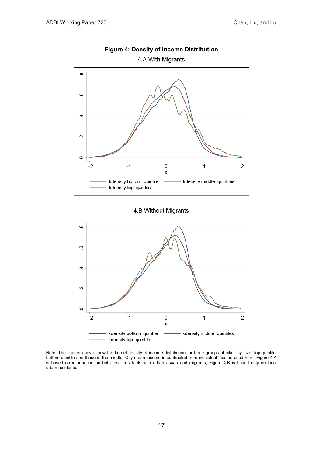

### **Figure 4: Density of Income Distribution**

4.A With Migrants

4.B Without Migrants



Note: The figures above show the kernel density of income distribution for three groups of cities by size: top quintile, bottom quintile and those in the middle. City mean income is subtracted from individual income used here. Figure 4.A is based on information on both local residents with urban *hukou* and migrants; Figure 4.B is based only on local urban residents.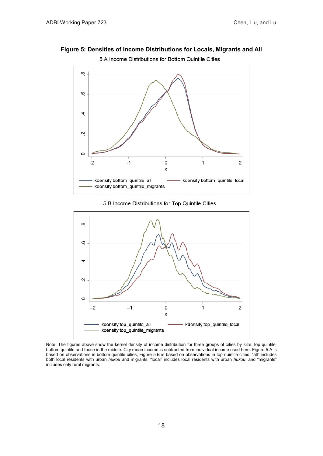

5.A Income Distributions for Bottom Quintile Cities



5.B Income Distributions for Top Quintile Cities



Note: The figures above show the kernel density of income distribution for three groups of cities by size: top quintile, bottom quintile and those in the middle. City mean income is subtracted from individual income used here. Figure 5.A is based on observations in bottom quintile cities; Figure 5.B is based on observations in top quintile cities. "all" includes both local residents with urban *hukou* and migrants, "local" includes local residents with urban *hukou*, and "migrants" includes only rural migrants.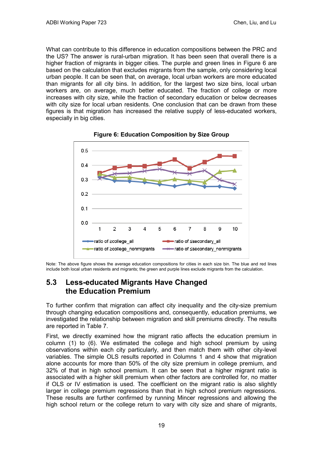What can contribute to this difference in education compositions between the PRC and the US? The answer is rural-urban migration. It has been seen that overall there is a higher fraction of migrants in bigger cities. The purple and green lines in Figure 6 are based on the calculation that excludes migrants from the sample, only considering local urban people. It can be seen that, on average, local urban workers are more educated than migrants for all city bins. In addition, for the largest two size bins, local urban workers are, on average, much better educated. The fraction of college or more increases with city size, while the fraction of secondary education or below decreases with city size for local urban residents. One conclusion that can be drawn from these figures is that migration has increased the relative supply of less-educated workers, especially in big cities.





Note: The above figure shows the average education compositions for cities in each size bin. The blue and red lines include both local urban residents and migrants; the green and purple lines exclude migrants from the calculation.

### <span id="page-22-0"></span>**5.3 Less-educated Migrants Have Changed the Education Premium**

To further confirm that migration can affect city inequality and the city-size premium through changing education compositions and, consequently, education premiums, we investigated the relationship between migration and skill premiums directly. The results are reported in Table 7.

First, we directly examined how the migrant ratio affects the education premium in column (1) to (6). We estimated the college and high school premium by using observations within each city particularly, and then match them with other city-level variables. The simple OLS results reported in Columns 1 and 4 show that migration alone accounts for more than 50% of the city size premium in college premium, and 32% of that in high school premium. It can be seen that a higher migrant ratio is associated with a higher skill premium when other factors are controlled for, no matter if OLS or IV estimation is used. The coefficient on the migrant ratio is also slightly larger in college premium regressions than that in high school premium regressions. These results are further confirmed by running Mincer regressions and allowing the high school return or the college return to vary with city size and share of migrants,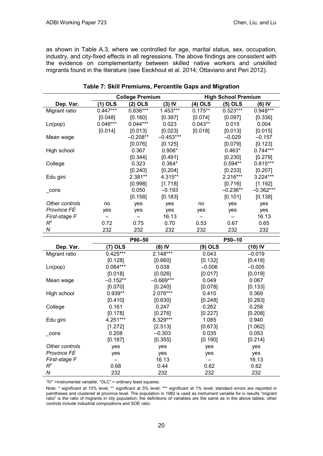as shown in Table A.3, where we controlled for age, marital status, sex, occupation, industry, and city-fixed effects in all regressions. The above findings are consistent with the evidence on complementarity between skilled native workers and unskilled migrants found in the literature (see Eeckhout et al. 2014; Ottaviano and Peri 2012).

|                    | <b>College Premium</b> |              | <b>High School Premium</b> |           |            |             |
|--------------------|------------------------|--------------|----------------------------|-----------|------------|-------------|
| Dep. Var.          | (1) OLS                | (2) OLS      | $(3)$ IV                   | (4) OLS   | (5) OLS    | (6) IV      |
| Migrant ratio      | $0.447***$             | $0.636***$   | $1.453***$                 | $0.175**$ | $0.523***$ | 0.949***    |
|                    | [0.048]                | [0.160]      | [0.397]                    | [0.074]   | [0.097]    | [0.336]     |
| Ln(pop)            | $0.046***$             | $0.044***$   | 0.023                      | $0.043**$ | 0.015      | 0.004       |
|                    | [0.014]                | [0.013]      | [0.023]                    | [0.018]   | [0.013]    | [0.015]     |
| Mean wage          |                        | $-0.208**$   | $-0.453***$                |           | $-0.029$   | $-0.157$    |
|                    |                        | [0.076]      | [0.125]                    |           | [0.079]    | [0.123]     |
| High school        |                        | 0.367        | $0.906*$                   |           | $0.463*$   | $0.744***$  |
|                    |                        | [0.344]      | [0.491]                    |           | [0.230]    | [0.279]     |
| College            |                        | 0.323        | $0.364*$                   |           | $0.594**$  | $0.615***$  |
|                    |                        | [0.240]      | [0.204]                    |           | [0.233]    | [0.207]     |
| Edu gini           |                        | 2.381**      | 4.315**                    |           | 2.216***   | 3.224***    |
|                    |                        | [0.998]      | [1.718]                    |           | [0.716]    | [1.192]     |
| $\_cons$           |                        | 0.050        | $-0.193$                   |           | $-0.236**$ | $-0.362***$ |
|                    |                        | [0.158]      | [0.183]                    |           | [0.101]    | [0.138]     |
| Other controls     | no                     | yes          | yes                        | no        | yes        | yes         |
| <b>Province FE</b> | yes                    | yes          | yes                        | yes       | yes        | yes         |
| First-stage F      |                        |              | 16.13                      |           |            | 16.13       |
| $R^2$              | 0.72                   | 0.75         | 0.70                       | 0.53      | 0.67       | 0.65        |
| N                  | 232                    | 232          | 232                        | 232       | 232        | 232         |
|                    |                        | P90-50       |                            |           | P50-10     |             |
|                    | $-1$                   | $\mathbf{r}$ |                            |           |            |             |

#### **Table 7: Skill Premiums, Percentile Gaps and Migration**

|                    | P90-50     |             |          | P50-10   |
|--------------------|------------|-------------|----------|----------|
| Dep. Var.          | (7) OLS    | $(8)$ IV    | (9) OLS  | (10) IV  |
| Migrant ratio      | $0.425***$ | $2.148***$  | 0.043    | $-0.019$ |
|                    | [0.128]    | [0.660]     | [0.132]  | [0.418]  |
| Ln(pop)            | $0.084***$ | 0.038       | $-0.006$ | $-0.005$ |
|                    | [0.018]    | [0.026]     | [0.017]  | [0.019]  |
| Mean wage          | $-0.152**$ | $-0.669***$ | 0.049    | 0.067    |
|                    | [0.070]    | [0.240]     | [0.078]  | [0.133]  |
| High school        | $0.939**$  | 2.076***    | 0.410    | 0.369    |
|                    | [0.410]    | [0.630]     | [0.248]  | [0.283]  |
| College            | 0.161      | 0.247       | 0.262    | 0.258    |
|                    | [0.178]    | [0.276]     | [0.227]  | [0.208]  |
| Edu gini           | 4.251***   | 8.329***    | 1.085    | 0.940    |
|                    | [1.272]    | [2.513]     | [0.673]  | [1.062]  |
| cons               | 0.208      | $-0.303$    | 0.035    | 0.053    |
|                    | [0.187]    | [0.355]     | [0.190]  | [0.214]  |
| Other controls     | yes        | yes         | yes      | yes      |
| <b>Province FE</b> | yes        | yes         | yes      | yes      |
| First-stage F      |            | 16.13       |          | 16.13    |
| $R^2$              | 0.68       | 0.44        | 0.62     | 0.62     |
| N                  | 232        | 232         | 232      | 232      |

"IV" =instrumental variable; "OLC" = ordinary least squares.

Note: \* significant at 10% level; \*\* significant at 5% level; \*\*\* significant at 1% level; standard errors are reported in parntheses and clustered at province level. The population in 1982 is used as instrument variable for iv results "migrant ratio" is the ratio of migrants in city population; the definitions of variables are the same as in the above tables; other controls include industrial compositions and SOE ratio.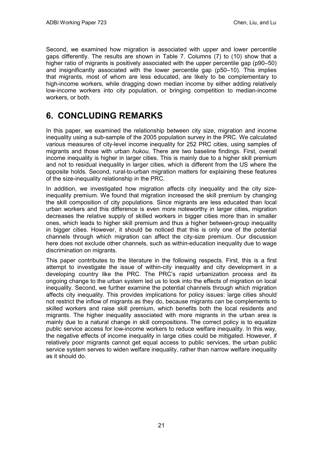Second, we examined how migration is associated with upper and lower percentile gaps differently. The results are shown in Table 7. Columns (7) to (10) show that a higher ratio of migrants is positively associated with the upper percentile gap (p90–50) and insignificantly associated with the lower percentile gap (p50–10). This implies that migrants, most of whom are less educated, are likely to be complementary to high-income workers, while dragging down median income by either adding relatively low-income workers into city population, or bringing competition to median-income workers, or both.

# <span id="page-24-0"></span>**6. CONCLUDING REMARKS**

In this paper, we examined the relationship between city size, migration and income inequality using a sub-sample of the 2005 population survey in the PRC. We calculated various measures of city-level income inequality for 252 PRC cities, using samples of migrants and those with urban *hukou*. There are two baseline findings. First, overall income inequality is higher in larger cities. This is mainly due to a higher skill premium and not to residual inequality in larger cities, which is different from the US where the opposite holds. Second, rural-to-urban migration matters for explaining these features of the size-inequality relationship in the PRC.

In addition, we investigated how migration affects city inequality and the city sizeinequality premium. We found that migration increased the skill premium by changing the skill composition of city populations. Since migrants are less educated than local urban workers and this difference is even more noteworthy in larger cities, migration decreases the relative supply of skilled workers in bigger cities more than in smaller ones, which leads to higher skill premium and thus a higher between-group inequality in bigger cities. However, it should be noticed that this is only one of the potential channels through which migration can affect the city-size premium. Our discussion here does not exclude other channels, such as within-education inequality due to wage discrimination on migrants.

This paper contributes to the literature in the following respects. First, this is a first attempt to investigate the issue of within-city inequality and city development in a developing country like the PRC. The PRC's rapid urbanization process and its ongoing change to the urban system led us to look into the effects of migration on local inequality. Second, we further examine the potential channels through which migration affects city inequality. This provides implications for policy issues: large cities should not restrict the inflow of migrants as they do, because migrants can be complements to skilled workers and raise skill premium, which benefits both the local residents and migrants. The higher inequality associated with more migrants in the urban area is mainly due to a natural change in skill compositions. The correct policy is to equalize public service access for low-income workers to reduce welfare inequality. In this way, the negative effects of income inequality in large cities could be mitigated. However, if relatively poor migrants cannot get equal access to public services, the urban public service system serves to widen welfare inequality, rather than narrow welfare inequality as it should do.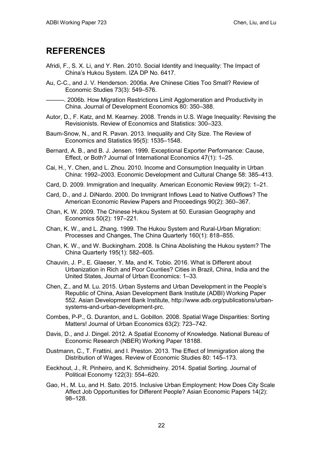## <span id="page-25-0"></span>**REFERENCES**

- Afridi, F., S. X. Li, and Y. Ren. 2010. Social Identity and Inequality: The Impact of China's Hukou System. IZA DP No. 6417.
- Au, C-C., and J. V. Henderson. 2006a. Are Chinese Cities Too Small? Review of Economic Studies 73(3): 549–576.

———. 2006b. How Migration Restrictions Limit Agglomeration and Productivity in China. Journal of Development Economics 80: 350–388.

- Autor, D., F. Katz, and M. Kearney. 2008. Trends in U.S. Wage Inequality: Revising the Revisionists. Review of Economics and Statistics: 300–323.
- Baum-Snow, N., and R. Pavan. 2013. Inequality and City Size. The Review of Economics and Statistics 95(5): 1535–1548.
- Bernard, A. B., and B. J. Jensen. 1999. Exceptional Exporter Performance: Cause, Effect, or Both? Journal of International Economics 47(1): 1–25.
- Cai, H., Y. Chen, and L. Zhou. 2010. Income and Consumption Inequality in Urban China: 1992–2003. Economic Development and Cultural Change 58: 385–413.
- Card, D. 2009. Immigration and Inequality. American Economic Review 99(2): 1–21.
- Card, D., and J. DiNardo. 2000. Do Immigrant Inflows Lead to Native Outflows? The American Economic Review Papers and Proceedings 90(2): 360–367.
- Chan, K. W. 2009. The Chinese Hukou System at 50. Eurasian Geography and Economics 50(2): 197–221.
- Chan, K. W., and L. Zhang. 1999. The Hukou System and Rural-Urban Migration: Processes and Changes, The China Quarterly 160(1): 818–855.
- Chan, K. W., and W. Buckingham. 2008. Is China Abolishing the Hukou system? The China Quarterly 195(1): 582–605.
- Chauvin, J. P., E. Glaeser, Y. Ma, and K. Tobio. 2016. What is Different about Urbanization in Rich and Poor Counties? Cities in Brazil, China, India and the United States, Journal of Urban Economics: 1–33.
- Chen, Z., and M. Lu. 2015. Urban Systems and Urban Development in the People's Republic of China, Asian Development Bank Institute (ADBI) Working Paper 552. Asian Development Bank Institute, http://www.adb.org/publications/urbansystems-and-urban-development-prc.
- Combes, P-P., G. Duranton, and L. Gobillon. 2008. Spatial Wage Disparities: Sorting Matters! Journal of Urban Economics 63(2): 723–742.
- Davis, D., and J. Dingel. 2012. A Spatial Economy of Knowledge. National Bureau of Economic Research (NBER) Working Paper 18188.
- Dustmann, C., T. Frattini, and I. Preston. 2013. The Effect of Immigration along the Distribution of Wages. Review of Economic Studies 80: 145–173.
- Eeckhout, J., R. Pinheiro, and K. Schmidheiny. 2014. Spatial Sorting. Journal of Political Economy 122(3): 554–620.
- Gao, H., M. Lu, and H. Sato. 2015. Inclusive Urban Employment: How Does City Scale Affect Job Opportunities for Different People? Asian Economic Papers 14(2): 98–128.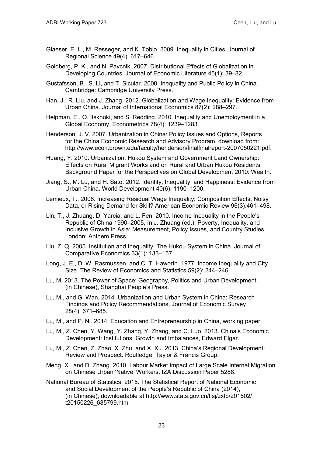- Glaeser, E. L., M. Resseger, and K. Tobio. 2009. Inequality in Cities. Journal of Regional Science 49(4): 617–646.
- Goldberg, P. K., and N. Pavcnik. 2007. Distributional Effects of Globalization in Developing Countries. Journal of Economic Literature 45(1): 39–82.
- Gustafsson, B., S. Li, and T. Sicular. 2008. Inequality and Public Policy in China. Cambridge: Cambridge University Press.
- Han, J., R. Liu, and J. Zhang. 2012. Globalization and Wage Inequality: Evidence from Urban China. Journal of International Economics 87(2): 288–297.
- Helpman, E., O. Itskhoki, and S. Redding. 2010. Inequality and Unemployment in a Global Economy. Econometrica 78(4): 1239–1283.
- Henderson, J. V. 2007. Urbanization in China: Policy Issues and Options, Reports for the China Economic Research and Advisory Program, download from: http://www.econ.brown.edu/faculty/henderson/finalfinalreport-2007050221.pdf.
- Huang, Y. 2010. Urbanization, Hukou System and Government Land Ownership: Effects on Rural Migrant Works and on Rural and Urban Hukou Residents, Background Paper for the Perspectives on Global Development 2010: Wealth.
- Jiang, S., M. Lu, and H. Sato. 2012. Identity, Inequality, and Happiness: Evidence from Urban China. World Development 40(6): 1190–1200.
- Lemieux, T., 2006. Increasing Residual Wage Inequality: Composition Effects, Noisy Data, or Rising Demand for Skill? American Economic Review 96(3):461–498.
- Lin, T., J. Zhuang, D. Yarcia, and L. Fen. 2010. Income Inequality in the People's Republic of China 1990–2005, In J. Zhuang (ed.), Poverty, Inequality, and Inclusive Growth in Asia: Measurement, Policy Issues, and Country Studies. London: Anthem Press.
- Liu, Z. Q. 2005. Institution and Inequality: The Hukou System in China. Journal of Comparative Economics 33(1): 133–157.
- Long, J. E., D. W. Rasmussen, and C. T. Haworth. 1977. Income Inequality and City Size. The Review of Economics and Statistics 59(2): 244–246.
- Lu, M. 2013. The Power of Space: Geography, Politics and Urban Development, (in Chinese), Shanghai People's Press.
- Lu, M., and G. Wan. 2014. Urbanization and Urban System in China: Research Findings and Policy Recommendations, Journal of Economic Survey 28(4): 671–685.
- Lu, M., and P. Ni. 2014. Education and Entrepreneurship in China, working paper.
- Lu, M., Z. Chen, Y. Wang, Y. Zhang, Y. Zhang, and C. Luo. 2013. China's Economic Development: Institutions, Growth and Imbalances, Edward Elgar.
- Lu, M., Z. Chen, Z. Zhao, X. Zhu, and X. Xu. 2013. China's Regional Development: Review and Prospect. Routledge, Taylor & Francis Group.
- Meng, X., and D. Zhang. 2010. Labour Market Impact of Large Scale Internal Migration on Chinese Urban 'Native' Workers. IZA Discussion Paper 5288.
- National Bureau of Statistics. 2015. The Statistical Report of National Economic and Social Development of the People's Republic of China (2014), (in Chinese), downloadable at http://www.stats.gov.cn/tjsj/zxfb/201502/ t20150226\_685799.html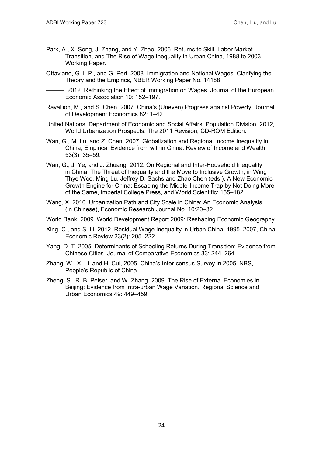- Park, A., X. Song, J. Zhang, and Y. Zhao. 2006. Returns to Skill, Labor Market Transition, and The Rise of Wage Inequality in Urban China, 1988 to 2003. Working Paper.
- Ottaviano, G. I. P., and G. Peri. 2008. Immigration and National Wages: Clarifying the Theory and the Empirics, NBER Working Paper No. 14188.

. 2012. Rethinking the Effect of Immigration on Wages. Journal of the European Economic Association 10: 152–197.

- Ravallion, M., and S. Chen. 2007. China's (Uneven) Progress against Poverty. Journal of Development Economics 82: 1–42.
- United Nations, Department of Economic and Social Affairs, Population Division, 2012, World Urbanization Prospects: The 2011 Revision, CD-ROM Edition.
- Wan, G., M. Lu, and Z. Chen. 2007. Globalization and Regional Income Inequality in China, Empirical Evidence from within China. Review of Income and Wealth 53(3): 35–59.
- Wan, G., J. Ye, and J. Zhuang. 2012. On Regional and Inter-Household Inequality in China: The Threat of Inequality and the Move to Inclusive Growth, in Wing Thye Woo, Ming Lu, Jeffrey D. Sachs and Zhao Chen (eds.), A New Economic Growth Engine for China: Escaping the Middle-Income Trap by Not Doing More of the Same, Imperial College Press, and World Scientific: 155–182.
- Wang, X. 2010. Urbanization Path and City Scale in China: An Economic Analysis, (in Chinese), Economic Research Journal No. 10:20–32.
- World Bank. 2009. World Development Report 2009: Reshaping Economic Geography.
- Xing, C., and S. Li. 2012. Residual Wage Inequality in Urban China, 1995–2007, China Economic Review 23(2): 205–222.
- Yang, D. T. 2005. Determinants of Schooling Returns During Transition: Evidence from Chinese Cities. Journal of Comparative Economics 33: 244–264.
- Zhang, W., X. Li, and H. Cui, 2005. China's Inter-census Survey in 2005. NBS, People's Republic of China.
- Zheng, S., R. B. Peiser, and W. Zhang. 2009. The Rise of External Economies in Beijing: Evidence from Intra-urban Wage Variation. Regional Science and Urban Economics 49: 449–459.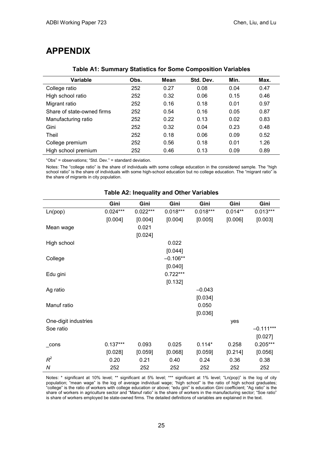## <span id="page-28-0"></span>**APPENDIX**

| Variable                   | Obs. | Mean | Std. Dev. | Min. | Max. |
|----------------------------|------|------|-----------|------|------|
| College ratio              | 252  | 0.27 | 0.08      | 0.04 | 0.47 |
| High school ratio          | 252  | 0.32 | 0.06      | 0.15 | 0.46 |
| Migrant ratio              | 252  | 0.16 | 0.18      | 0.01 | 0.97 |
| Share of state-owned firms | 252  | 0.54 | 0.16      | 0.05 | 0.87 |
| Manufacturing ratio        | 252  | 0.22 | 0.13      | 0.02 | 0.83 |
| Gini                       | 252  | 0.32 | 0.04      | 0.23 | 0.48 |
| Theil                      | 252  | 0.18 | 0.06      | 0.09 | 0.52 |
| College premium            | 252  | 0.56 | 0.18      | 0.01 | 1.26 |
| High school premium        | 252  | 0.46 | 0.13      | 0.09 | 0.89 |

#### **Table A1: Summary Statistics for Some Composition Variables**

"Obs" = observations; "Std. Dev." = standard deviation.

Notes: The "college ratio" is the share of individuals with some college education in the considered sample. The "high school ratio" is the share of individuals with some high-school education but no college education. The "migrant ratio" is the share of migrants in city population.

|                      | Gini       | Gini       | Gini       | Gini       | Gini      | Gini        |
|----------------------|------------|------------|------------|------------|-----------|-------------|
| Ln(pop)              | $0.024***$ | $0.022***$ | $0.018***$ | $0.018***$ | $0.014**$ | $0.013***$  |
|                      | [0.004]    | [0.004]    | [0.004]    | [0.005]    | [0.006]   | [0.003]     |
| Mean wage            |            | 0.021      |            |            |           |             |
|                      |            | [0.024]    |            |            |           |             |
| High school          |            |            | 0.022      |            |           |             |
|                      |            |            | [0.044]    |            |           |             |
| College              |            |            | $-0.106**$ |            |           |             |
|                      |            |            | [0.040]    |            |           |             |
| Edu gini             |            |            | $0.722***$ |            |           |             |
|                      |            |            | [0.132]    |            |           |             |
| Ag ratio             |            |            |            | $-0.043$   |           |             |
|                      |            |            |            | [0.034]    |           |             |
| Manuf ratio          |            |            |            | 0.050      |           |             |
|                      |            |            |            | [0.036]    |           |             |
| One-digit industries |            |            |            |            | yes       |             |
| Soe ratio            |            |            |            |            |           | $-0.111***$ |
|                      |            |            |            |            |           | [0.027]     |
| cons                 | $0.137***$ | 0.093      | 0.025      | $0.114*$   | 0.258     | $0.205***$  |
|                      | [0.028]    | [0.059]    | [0.068]    | [0.059]    | [0.214]   | [0.056]     |
| $R^2$                | 0.20       | 0.21       | 0.40       | 0.24       | 0.36      | 0.38        |
| N                    | 252        | 252        | 252        | 252        | 252       | 252         |

#### **Table A2: Inequality and Other Variables**

Notes: \* significant at 10% level; \*\* significant at 5% level; \*\*\* significant at 1% level; "Ln(pop)" is the log of city population; "mean wage" is the log of average individual wage; "high school" is the ratio of high school graduates; "college" is the ratio of workers with college education or above; "edu gini" is education Gini coefficient; "Ag ratio" is the share of workers in agriculture sector and "Manuf ratio" is the share of workers in the manufacturing sector; "Soe ratio" is share of workers employed be state-owned firms. The detailed definitions of variables are explained in the text.